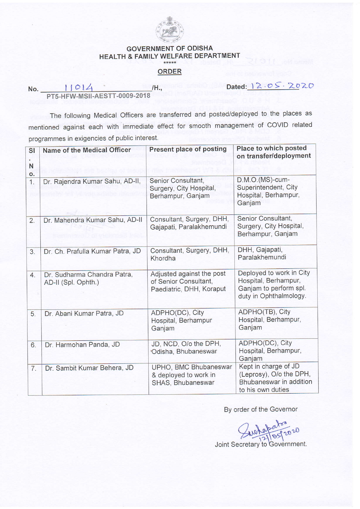

## GOVERNMENT OF ODISHA HEALTH & FAMILY WELFARE DEPARTMENT

## ORDER

Dated: 12.05.2020

/H., PT5-H sil-AESTT-0009-2018

The following Medical officers are transferred and posted/deployed to the places as mentioned against each with immediate effect for smooth management of COVID related programmes in exigencies of public interest.

| <b>SI</b><br>N<br>o. | Name of the Medical Officer                        | <b>Present place of posting</b>                                                | Place to which posted<br>on transfer/deployment                                                      |
|----------------------|----------------------------------------------------|--------------------------------------------------------------------------------|------------------------------------------------------------------------------------------------------|
| 1.                   | Dr. Rajendra Kumar Sahu, AD-II,                    | Senior Consultant,<br>Surgery, City Hospital,<br>Berhampur, Ganjam             | $D.M.O.(MS)-cum-$<br>Superintendent, City<br>Hospital, Berhampur,<br>Ganjam                          |
| 2.                   | Dr. Mahendra Kumar Sahu, AD-II                     | Consultant, Surgery, DHH,<br>Gajapati, Paralakhemundi                          | Senior Consultant,<br>Surgery, City Hospital,<br>Berhampur, Ganjam                                   |
| 3.                   | Dr. Ch. Prafulla Kumar Patra, JD                   | Consultant, Surgery, DHH,<br>Khordha                                           | DHH, Gajapati,<br>Paralakhemundi                                                                     |
| $\overline{4}$ .     | Dr. Sudharma Chandra Patra,<br>AD-II (Spl. Ophth.) | Adjusted against the post<br>of Senior Consultant,<br>Paediatric, DHH, Koraput | Deployed to work in City<br>Hospital, Berhampur,<br>Ganjam to perform spl.<br>duty in Ophthalmology. |
| 5.                   | Dr. Abani Kumar Patra, JD                          | ADPHO(DC), City<br>Hospital, Berhampur<br>Ganjam                               | ADPHO(TB), City<br>Hospital, Berhampur,<br>Ganjam                                                    |
| 6.                   | Dr. Harmohan Panda, JD                             | JD, NCD, O/o the DPH,<br>Odisha, Bhubaneswar                                   | ADPHO(DC), City<br>Hospital, Berhampur,<br>Ganjam                                                    |
| 7.                   | Dr. Sambit Kumar Behera, JD                        | UPHO, BMC Bhubaneswar<br>& deployed to work in<br>SHAS, Bhubaneswar            | Kept in charge of JD<br>(Leprosy), O/o the DPH,<br>Bhubaneswar in addition<br>to his own duties      |

By order of the Governor

Jurkabay 2020

Joint Secretary to Government.